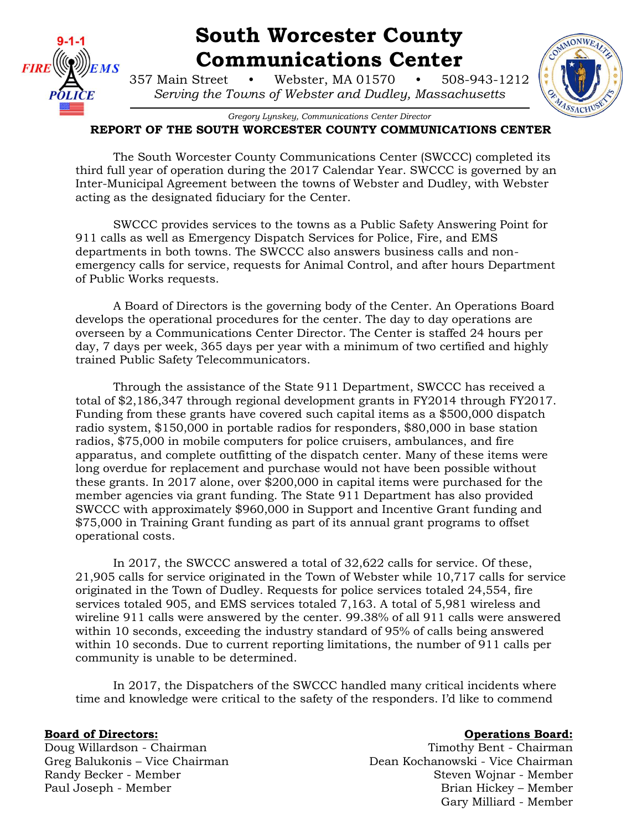

# **South Worcester County Communications Center**

357 Main Street • Webster, MA 01570 • 508-943-1212 *Serving the Towns of Webster and Dudley, Massachusetts*



*Gregory Lynskey, Communications Center Director*

## **REPORT OF THE SOUTH WORCESTER COUNTY COMMUNICATIONS CENTER**

The South Worcester County Communications Center (SWCCC) completed its third full year of operation during the 2017 Calendar Year. SWCCC is governed by an Inter-Municipal Agreement between the towns of Webster and Dudley, with Webster acting as the designated fiduciary for the Center.

SWCCC provides services to the towns as a Public Safety Answering Point for 911 calls as well as Emergency Dispatch Services for Police, Fire, and EMS departments in both towns. The SWCCC also answers business calls and nonemergency calls for service, requests for Animal Control, and after hours Department of Public Works requests.

A Board of Directors is the governing body of the Center. An Operations Board develops the operational procedures for the center. The day to day operations are overseen by a Communications Center Director. The Center is staffed 24 hours per day, 7 days per week, 365 days per year with a minimum of two certified and highly trained Public Safety Telecommunicators.

Through the assistance of the State 911 Department, SWCCC has received a total of \$2,186,347 through regional development grants in FY2014 through FY2017. Funding from these grants have covered such capital items as a \$500,000 dispatch radio system, \$150,000 in portable radios for responders, \$80,000 in base station radios, \$75,000 in mobile computers for police cruisers, ambulances, and fire apparatus, and complete outfitting of the dispatch center. Many of these items were long overdue for replacement and purchase would not have been possible without these grants. In 2017 alone, over \$200,000 in capital items were purchased for the member agencies via grant funding. The State 911 Department has also provided SWCCC with approximately \$960,000 in Support and Incentive Grant funding and \$75,000 in Training Grant funding as part of its annual grant programs to offset operational costs.

In 2017, the SWCCC answered a total of 32,622 calls for service. Of these, 21,905 calls for service originated in the Town of Webster while 10,717 calls for service originated in the Town of Dudley. Requests for police services totaled 24,554, fire services totaled 905, and EMS services totaled 7,163. A total of 5,981 wireless and wireline 911 calls were answered by the center. 99.38% of all 911 calls were answered within 10 seconds, exceeding the industry standard of 95% of calls being answered within 10 seconds. Due to current reporting limitations, the number of 911 calls per community is unable to be determined.

In 2017, the Dispatchers of the SWCCC handled many critical incidents where time and knowledge were critical to the safety of the responders. I'd like to commend

# **Board of Directors: Constanting Board: Constanting Board: Operations Board: Operations Board: Operations Board: Operations** Board: **Operations** Board: **Operations** Board:

Doug Willardson - Chairman Timothy Bent - Chairman Greg Balukonis – Vice Chairman Dean Kochanowski - Vice Chairman Randy Becker - Member Steven Wojnar - Member Steven Wojnar - Member Paul Joseph - Member **Brian Hickey – Member** Brian Hickey – Member Gary Milliard - Member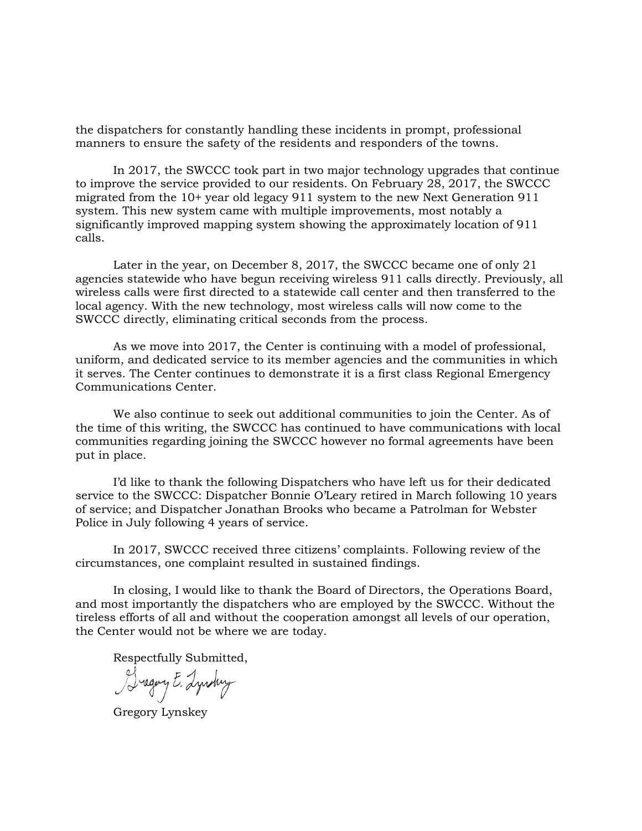the dispatchers for constantly handling these incidents in prompt, professional manners to ensure the safety of the residents and responders of the towns.

In 2017, the SWCCC took part in two major technology upgrades that continue to improve the service provided to our residents. On February 28, 2017, the SWCCC migrated from the 10+ year old legacy 911 system to the new Next Generation 911 system. This new system came with multiple improvements, most notably a significantly improved mapping system showing the approximately location of 911 calls.

Later in the year, on December 8, 2017, the SWCCC became one of only 21 agencies statewide who have begun receiving wireless 911 calls directly. Previously, all wireless calls were first directed to a statewide call center and then transferred to the local agency. With the new technology, most wireless calls will now come to the SWCCC directly, eliminating critical seconds from the process.

As we move into 2017, the Center is continuing with a model of professional, uniform, and dedicated service to its member agencies and the communities in which it serves. The Center continues to demonstrate it is a first class Regional Emergency Communications Center.

We also continue to seek out additional communities to join the Center. As of the time of this writing, the SWCCC has continued to have communications with local communities regarding joining the SWCCC however no formal agreements have been put in place.

I'd like to thank the following Dispatchers who have left us for their dedicated service to the SWCCC: Dispatcher Bonnie O'Leary retired in March following 10 years of service; and Dispatcher Jonathan Brooks who became a Patrolman for Webster Police in July following 4 years of service.

In 2017, SWCCC received three citizens' complaints. Following review of the circumstances, one complaint resulted in sustained findings.

In closing, I would like to thank the Board of Directors, the Operations Board, and most importantly the dispatchers who are employed by the SWCCC. Without the tireless efforts of all and without the cooperation amongst all levels of our operation, the Center would not be where we are today.

Respectfully Submitted,<br>Juggy E. Lyndwy

Gregory Lynskey